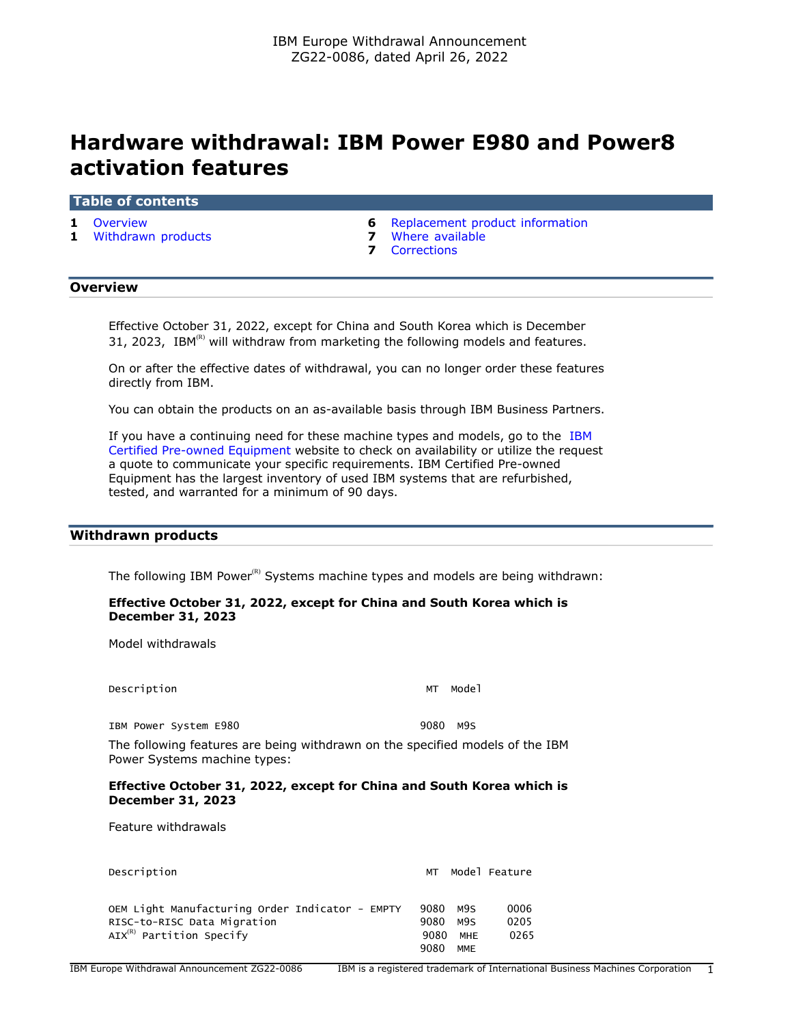# **Hardware withdrawal: IBM Power E980 and Power8 activation features**

#### **Table of contents**

- 
- **1** [Withdrawn products](#page-0-1) **7** [Where available](#page-6-0)
- **1** [Overview](#page-0-0) **6** [Replacement product information](#page-5-0)
	-
	- **7** [Corrections](#page-6-1)

## <span id="page-0-0"></span>**Overview**

Effective October 31, 2022, except for China and South Korea which is December 31, 2023, IBM $<sup>(R)</sup>$  will withdraw from marketing the following models and features.</sup>

On or after the effective dates of withdrawal, you can no longer order these features directly from IBM.

You can obtain the products on an as-available basis through IBM Business Partners.

If you have a continuing need for these machine types and models, go to the [IBM](https://www.ibm.com/financing/pre-owned/ibm-certified-used-equipment) [Certified Pre-owned Equipment](https://www.ibm.com/financing/pre-owned/ibm-certified-used-equipment) website to check on availability or utilize the request a quote to communicate your specific requirements. IBM Certified Pre-owned Equipment has the largest inventory of used IBM systems that are refurbished, tested, and warranted for a minimum of 90 days.

## <span id="page-0-1"></span>**Withdrawn products**

The following IBM Power $<sup>(R)</sup>$  Systems machine types and models are being withdrawn:</sup>

## **Effective October 31, 2022, except for China and South Korea which is December 31, 2023**

Model withdrawals

Description MT Model

IBM Power System E980 9080 M9S

The following features are being withdrawn on the specified models of the IBM Power Systems machine types:

#### **Effective October 31, 2022, except for China and South Korea which is December 31, 2023**

Feature withdrawals

| Description                                                                                                     | МT                   |                   | Model Feature        |
|-----------------------------------------------------------------------------------------------------------------|----------------------|-------------------|----------------------|
| OEM Light Manufacturing Order Indicator - EMPTY<br>RISC-to-RISC Data Migration<br>$AIX^{(R)}$ Partition Specify | 9080<br>9080<br>9080 | M9S<br>M9S<br>MHE | 0006<br>0205<br>0265 |
|                                                                                                                 | 9080                 | <b>MME</b>        |                      |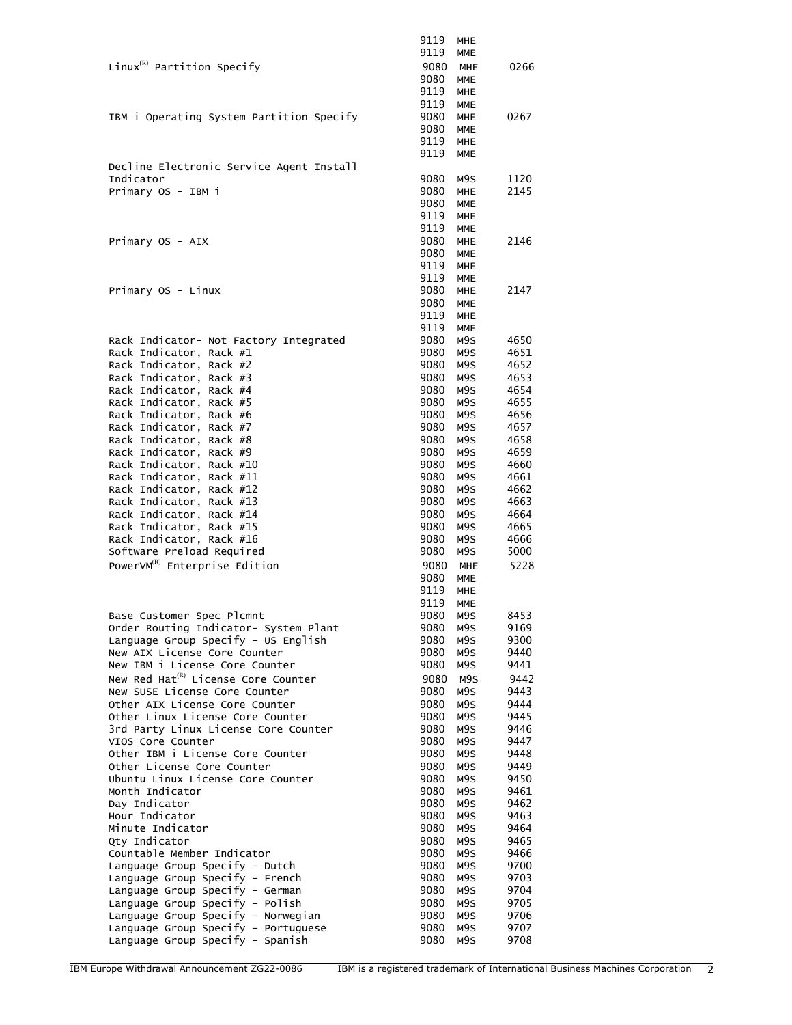|                                                                     | 9119         | MHE                      |              |
|---------------------------------------------------------------------|--------------|--------------------------|--------------|
|                                                                     | 9119         | <b>MME</b>               |              |
| Linux ${}^{\textrm{\tiny(R)}}$ Partition Specify                    | 9080         | <b>MHE</b>               | 0266         |
|                                                                     | 9080         | <b>MME</b>               |              |
|                                                                     | 9119         | <b>MHE</b>               |              |
|                                                                     | 9119         | <b>MME</b>               |              |
| IBM i Operating System Partition Specify                            | 9080<br>9080 | <b>MHE</b><br><b>MME</b> | 0267         |
|                                                                     | 9119         | <b>MHE</b>               |              |
|                                                                     | 9119         | <b>MME</b>               |              |
| Decline Electronic Service Agent Install                            |              |                          |              |
| Indicator                                                           | 9080         | M9S                      | 1120         |
| Primary OS - IBM i                                                  | 9080         | <b>MHE</b>               | 2145         |
|                                                                     | 9080         | <b>MME</b>               |              |
|                                                                     | 9119<br>9119 | <b>MHE</b><br><b>MME</b> |              |
| Primary OS - AIX                                                    | 9080         | <b>MHE</b>               | 2146         |
|                                                                     | 9080         | <b>MME</b>               |              |
|                                                                     | 9119         | MHE                      |              |
|                                                                     | 9119         | <b>MME</b>               |              |
| Primary OS - Linux                                                  | 9080         | <b>MHE</b>               | 2147         |
|                                                                     | 9080         | <b>MME</b>               |              |
|                                                                     | 9119         | <b>MHE</b><br><b>MME</b> |              |
| Rack Indicator- Not Factory Integrated                              | 9119<br>9080 | M9S                      | 4650         |
| Rack Indicator, Rack #1                                             | 9080         | M9S                      | 4651         |
| Rack Indicator, Rack #2                                             | 9080         | M9S                      | 4652         |
| Rack Indicator, Rack #3                                             | 9080         | M9S                      | 4653         |
| Rack Indicator, Rack #4                                             | 9080         | M9S                      | 4654         |
| Rack Indicator, Rack #5                                             | 9080         | M9S                      | 4655         |
| Rack Indicator, Rack #6                                             | 9080         | M9S                      | 4656         |
| Rack Indicator, Rack #7<br>Rack Indicator, Rack #8                  | 9080<br>9080 | M9S<br>M9S               | 4657<br>4658 |
| Rack Indicator, Rack #9                                             | 9080         | M9S                      | 4659         |
| Rack Indicator, Rack #10                                            | 9080         | M9S                      | 4660         |
| Rack Indicator, Rack #11                                            | 9080         | M9S                      | 4661         |
| Rack Indicator, Rack #12                                            | 9080         | M9S                      | 4662         |
| Rack Indicator, Rack #13                                            | 9080         | M9S                      | 4663         |
| Rack Indicator, Rack #14                                            | 9080         | M9S                      | 4664         |
| Rack Indicator, Rack #15                                            | 9080<br>9080 | M9S<br>M9S               | 4665<br>4666 |
| Rack Indicator, Rack #16<br>Software Preload Required               | 9080         | M9S                      | 5000         |
| PowerVM <sup>(R)</sup> Enterprise Edition                           | 9080         | <b>MHE</b>               | 5228         |
|                                                                     | 9080         | <b>MME</b>               |              |
|                                                                     | 9119         | <b>MHE</b>               |              |
|                                                                     | 9119         | <b>MME</b>               |              |
| Base Customer Spec Plcmnt                                           | 9080         | M9S                      | 8453         |
| Order Routing Indicator- System Plant                               | 9080         | M9S                      | 9169         |
| Language Group Specify - US English<br>New AIX License Core Counter | 9080<br>9080 | M9S<br>M9S               | 9300<br>9440 |
| New IBM i License Core Counter                                      | 9080         | M9S                      | 9441         |
| New Red Hat <sup>(R)</sup> License Core Counter                     | 9080         | M9S                      | 9442         |
| New SUSE License Core Counter                                       | 9080         | M9S                      | 9443         |
| Other AIX License Core Counter                                      | 9080         | M9S                      | 9444         |
| Other Linux License Core Counter                                    | 9080         | M9S                      | 9445         |
| 3rd Party Linux License Core Counter                                | 9080         | M9S                      | 9446         |
| VIOS Core Counter<br>Other IBM i License Core Counter               | 9080<br>9080 | M9S<br>M9S               | 9447<br>9448 |
| Other License Core Counter                                          | 9080         | M9S                      | 9449         |
| Ubuntu Linux License Core Counter                                   | 9080         | M9S                      | 9450         |
| Month Indicator                                                     | 9080         | M9S                      | 9461         |
| Day Indicator                                                       | 9080         | M9S                      | 9462         |
| Hour Indicator                                                      | 9080         | M9S                      | 9463         |
| Minute Indicator                                                    | 9080         | M9S                      | 9464         |
| Qty Indicator<br>Countable Member Indicator                         | 9080<br>9080 | M9S<br>M9S               | 9465<br>9466 |
| Language Group Specify - Dutch                                      | 9080         | M9S                      | 9700         |
| Language Group Specify - French                                     | 9080         | M9S                      | 9703         |
| Language Group Specify - German                                     | 9080         | M9S                      | 9704         |
| Language Group Specify - Polish                                     | 9080         | M9S                      | 9705         |
| Language Group Specify - Norwegian                                  | 9080         | M9S                      | 9706         |
| Language Group Specify - Portuguese                                 | 9080<br>9080 | M9S                      | 9707<br>9708 |
| Language Group Specify - Spanish                                    |              | M9S                      |              |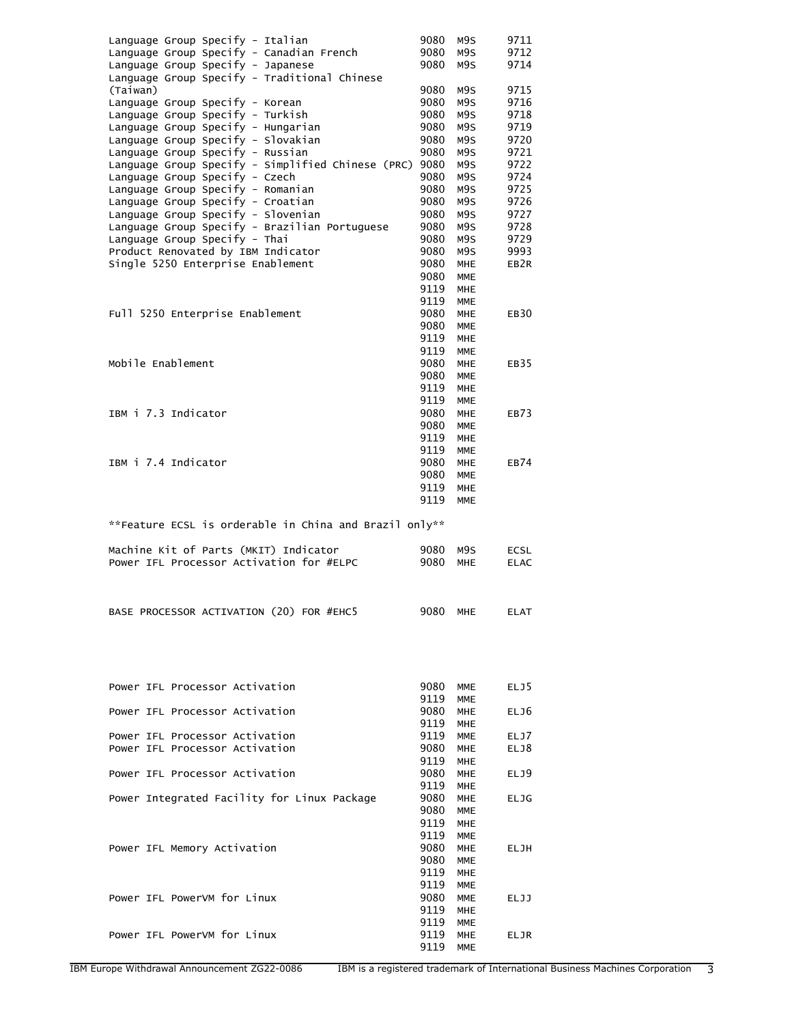| Language Group Specify - Italian                                                  | 9080         | M9S                      | 9711                       |
|-----------------------------------------------------------------------------------|--------------|--------------------------|----------------------------|
| Language Group Specify - Canadian French                                          | 9080         | M9S                      | 9712                       |
| Language Group Specify - Japanese                                                 | 9080         | M9S                      | 9714                       |
| Language Group Specify - Traditional Chinese<br>(Taiwan)                          | 9080         | M9S                      | 9715                       |
| Language Group Specify - Korean                                                   | 9080         | M9S                      | 9716                       |
| Language Group Specify - Turkish                                                  | 9080         | M9S                      | 9718                       |
| Language Group Specify - Hungarian                                                | 9080         | M9S                      | 9719                       |
| Language Group Specify - Slovakian                                                | 9080         | M9S                      | 9720                       |
| Language Group Specify - Russian                                                  | 9080         | M9S                      | 9721                       |
| Language Group Specify - Simplified Chinese (PRC) 9080                            |              | M9S                      | 9722                       |
| Language Group Specify - Czech<br>Language Group Specify - Romanian               | 9080<br>9080 | M9S<br>M9S               | 9724<br>9725               |
| Language Group Specify - Croatian                                                 | 9080         | M9S                      | 9726                       |
| Language Group Specify - Slovenian                                                | 9080         | M9S                      | 9727                       |
| Language Group Specify - Brazilian Portuguese                                     | 9080         | M9S                      | 9728                       |
| Language Group Specify - Thai                                                     | 9080         | M9S                      | 9729                       |
| Product Renovated by IBM Indicator                                                | 9080         | M9S                      | 9993                       |
| Single 5250 Enterprise Enablement                                                 | 9080         | <b>MHE</b>               | EB <sub>2R</sub>           |
|                                                                                   | 9080         | <b>MME</b>               |                            |
|                                                                                   | 9119<br>9119 | <b>MHE</b><br><b>MME</b> |                            |
| Full 5250 Enterprise Enablement                                                   | 9080         | <b>MHE</b>               | EB <sub>30</sub>           |
|                                                                                   | 9080         | <b>MME</b>               |                            |
|                                                                                   | 9119         | <b>MHE</b>               |                            |
|                                                                                   | 9119         | <b>MME</b>               |                            |
| Mobile Enablement                                                                 | 9080         | <b>MHE</b>               | EB35                       |
|                                                                                   | 9080         | <b>MME</b>               |                            |
|                                                                                   | 9119         | <b>MHE</b>               |                            |
|                                                                                   | 9119         | <b>MME</b>               |                            |
| IBM i 7.3 Indicator                                                               | 9080<br>9080 | <b>MHE</b><br>MME        | EB73                       |
|                                                                                   | 9119         | <b>MHE</b>               |                            |
|                                                                                   | 9119         | <b>MME</b>               |                            |
| IBM i 7.4 Indicator                                                               | 9080         | <b>MHE</b>               | EB74                       |
|                                                                                   | 9080         | <b>MME</b>               |                            |
|                                                                                   | 9119         | <b>MHE</b>               |                            |
|                                                                                   | 9119         | <b>MME</b>               |                            |
|                                                                                   |              |                          |                            |
|                                                                                   |              |                          |                            |
| **Feature ECSL is orderable in China and Brazil only**                            |              |                          |                            |
|                                                                                   |              |                          |                            |
| Machine Kit of Parts (MKIT) Indicator<br>Power IFL Processor Activation for #ELPC | 9080<br>9080 | M9S<br>MHE               | <b>ECSL</b><br><b>ELAC</b> |
|                                                                                   |              |                          |                            |
|                                                                                   |              |                          |                            |
|                                                                                   |              |                          |                            |
| BASE PROCESSOR ACTIVATION (20) FOR #EHC5                                          | 9080 MHE     |                          | <b>ELAT</b>                |
|                                                                                   |              |                          |                            |
|                                                                                   |              |                          |                            |
|                                                                                   |              |                          |                            |
|                                                                                   |              |                          |                            |
| Power IFL Processor Activation                                                    | 9080         | MME                      | ELJ5                       |
|                                                                                   | 9119         | <b>MME</b>               |                            |
| Power IFL Processor Activation                                                    | 9080         | <b>MHE</b>               | ELJ6                       |
|                                                                                   | 9119         | <b>MHE</b>               |                            |
| Power IFL Processor Activation<br>Power IFL Processor Activation                  | 9119<br>9080 | <b>MME</b><br><b>MHE</b> | ELJ7<br>ELJ8               |
|                                                                                   | 9119         | <b>MHE</b>               |                            |
| Power IFL Processor Activation                                                    | 9080         | <b>MHE</b>               | ELJ9                       |
|                                                                                   | 9119         | <b>MHE</b>               |                            |
| Power Integrated Facility for Linux Package                                       | 9080         | <b>MHE</b>               | <b>ELJG</b>                |
|                                                                                   | 9080         | <b>MME</b>               |                            |
|                                                                                   | 9119         | <b>MHE</b>               |                            |
| Power IFL Memory Activation                                                       | 9119<br>9080 | <b>MME</b><br>MHE        | ELJH                       |
|                                                                                   | 9080         | MME                      |                            |
|                                                                                   | 9119         | <b>MHE</b>               |                            |
|                                                                                   | 9119         | <b>MME</b>               |                            |
| Power IFL PowerVM for Linux                                                       | 9080         | MME                      | ELJJ                       |
|                                                                                   | 9119         | MHE                      |                            |
| Power IFL PowerVM for Linux                                                       | 9119<br>9119 | MME<br>MHE               | ELJR                       |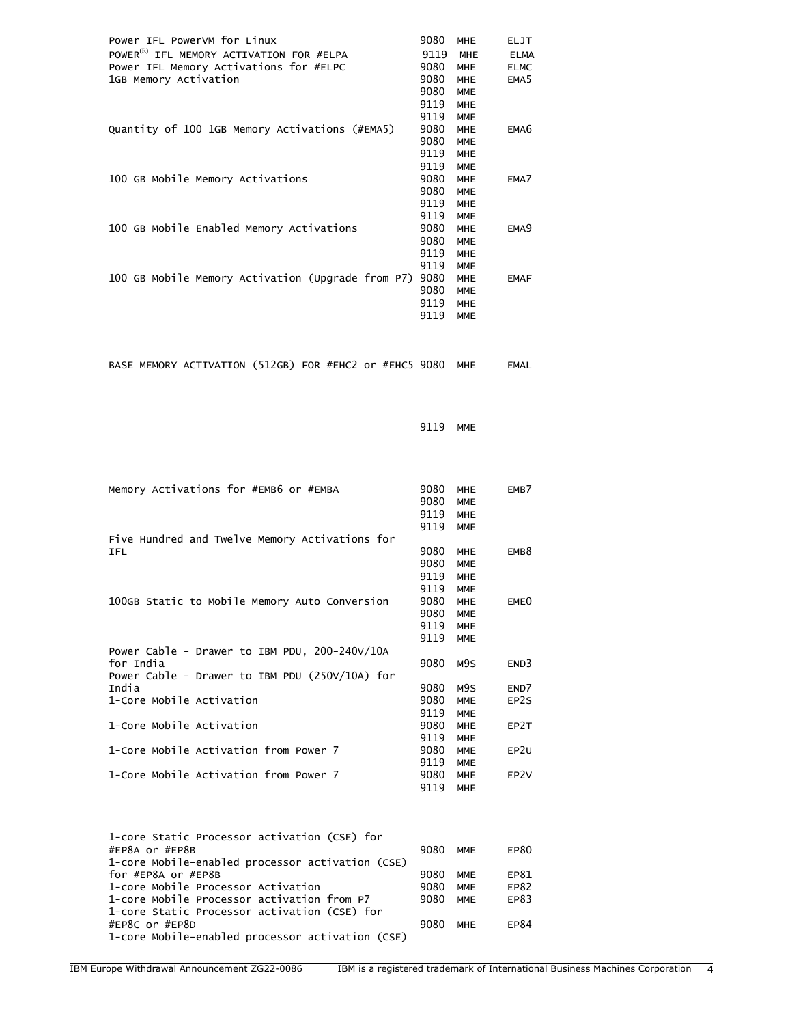| Power IFL PowerVM for Linux                          | 9080 | <b>MHE</b> | <b>ELJT</b>      |
|------------------------------------------------------|------|------------|------------------|
| POWER <sup>(R)</sup> IFL MEMORY ACTIVATION FOR #ELPA | 9119 | <b>MHE</b> | <b>ELMA</b>      |
| Power IFL Memory Activations for #ELPC               | 9080 | <b>MHE</b> | <b>ELMC</b>      |
| 1GB Memory Activation                                | 9080 | <b>MHE</b> | EMA <sub>5</sub> |
|                                                      | 9080 | <b>MME</b> |                  |
|                                                      | 9119 | <b>MHE</b> |                  |
|                                                      | 9119 | <b>MME</b> |                  |
| Quantity of 100 1GB Memory Activations (#EMA5)       | 9080 | <b>MHE</b> | EMA <sub>6</sub> |
|                                                      | 9080 | <b>MME</b> |                  |
|                                                      | 9119 | <b>MHE</b> |                  |
|                                                      | 9119 | <b>MME</b> |                  |
| 100 GB Mobile Memory Activations                     | 9080 | <b>MHE</b> | EMA7             |
|                                                      | 9080 | <b>MME</b> |                  |
|                                                      | 9119 | <b>MHE</b> |                  |
|                                                      | 9119 | <b>MME</b> |                  |
| 100 GB Mobile Enabled Memory Activations             | 9080 | <b>MHE</b> | EMA <sub>9</sub> |
|                                                      | 9080 | <b>MME</b> |                  |
|                                                      | 9119 | <b>MHE</b> |                  |
|                                                      | 9119 | <b>MME</b> |                  |
| 100 GB Mobile Memory Activation (Upgrade from P7)    | 9080 | <b>MHE</b> | <b>EMAF</b>      |
|                                                      | 9080 | <b>MME</b> |                  |
|                                                      | 9119 | <b>MHE</b> |                  |
|                                                      | 9119 | <b>MME</b> |                  |
|                                                      |      |            |                  |

|  |  | BASE MEMORY ACTIVATION (512GB) FOR #EHC2 or #EHC5 9080 MHE |  |  |  |  |  |  |  | EMAL |
|--|--|------------------------------------------------------------|--|--|--|--|--|--|--|------|
|--|--|------------------------------------------------------------|--|--|--|--|--|--|--|------|

9119 MME

| Memory Activations for #EMB6 or #EMBA            | 9080<br>9080<br>9119<br>9119 | <b>MHE</b><br><b>MME</b><br><b>MHE</b><br><b>MME</b> | EMB7             |
|--------------------------------------------------|------------------------------|------------------------------------------------------|------------------|
| Five Hundred and Twelve Memory Activations for   |                              |                                                      |                  |
| IFL                                              | 9080                         | <b>MHE</b>                                           | EMB <sub>8</sub> |
|                                                  | 9080                         | <b>MME</b>                                           |                  |
|                                                  | 9119                         | <b>MHE</b>                                           |                  |
|                                                  | 9119                         | <b>MME</b>                                           |                  |
| 100GB Static to Mobile Memory Auto Conversion    | 9080                         | <b>MHE</b>                                           | EME <sub>0</sub> |
|                                                  | 9080                         | <b>MME</b>                                           |                  |
|                                                  | 9119                         | <b>MHE</b>                                           |                  |
|                                                  | 9119                         | <b>MME</b>                                           |                  |
| Power Cable - Drawer to IBM PDU, 200-240V/10A    |                              |                                                      |                  |
| for India                                        | 9080                         | M9S                                                  | END3             |
| Power Cable - Drawer to IBM PDU $(250V/10A)$ for |                              |                                                      |                  |
| India                                            | 9080                         | M9S                                                  | END7             |
| 1-Core Mobile Activation                         | 9080                         | <b>MME</b>                                           | EP2S             |
|                                                  | 9119                         | <b>MME</b>                                           |                  |
| 1-Core Mobile Activation                         | 9080                         | <b>MHE</b>                                           | EP2T             |
|                                                  | 9119                         | <b>MHE</b>                                           |                  |
| 1-Core Mobile Activation from Power 7            | 9080                         | <b>MME</b>                                           | EP <sub>2U</sub> |
|                                                  | 9119                         | <b>MME</b>                                           |                  |
| 1-Core Mobile Activation from Power 7            | 9080                         | <b>MHE</b>                                           | EP <sub>2V</sub> |
|                                                  | 9119                         | <b>MHE</b>                                           |                  |

| 1-core Static Processor activation (CSE) for     |      |            |             |
|--------------------------------------------------|------|------------|-------------|
| #EP8A or #EP8B                                   | 9080 | MME        | EP80        |
| 1-core Mobile-enabled processor activation (CSE) |      |            |             |
| for #EP8A or #EP8B                               | 9080 | <b>MME</b> | EP81        |
| 1-core Mobile Processor Activation               | 9080 | MME        | EP82        |
| 1-core Mobile Processor activation from P7       | 9080 | <b>MMF</b> | EP83        |
| 1-core Static Processor activation (CSE) for     |      |            |             |
| #EP8C or #EP8D                                   | 9080 | MHF        | <b>FP84</b> |
| 1-core Mobile-enabled processor activation (CSE) |      |            |             |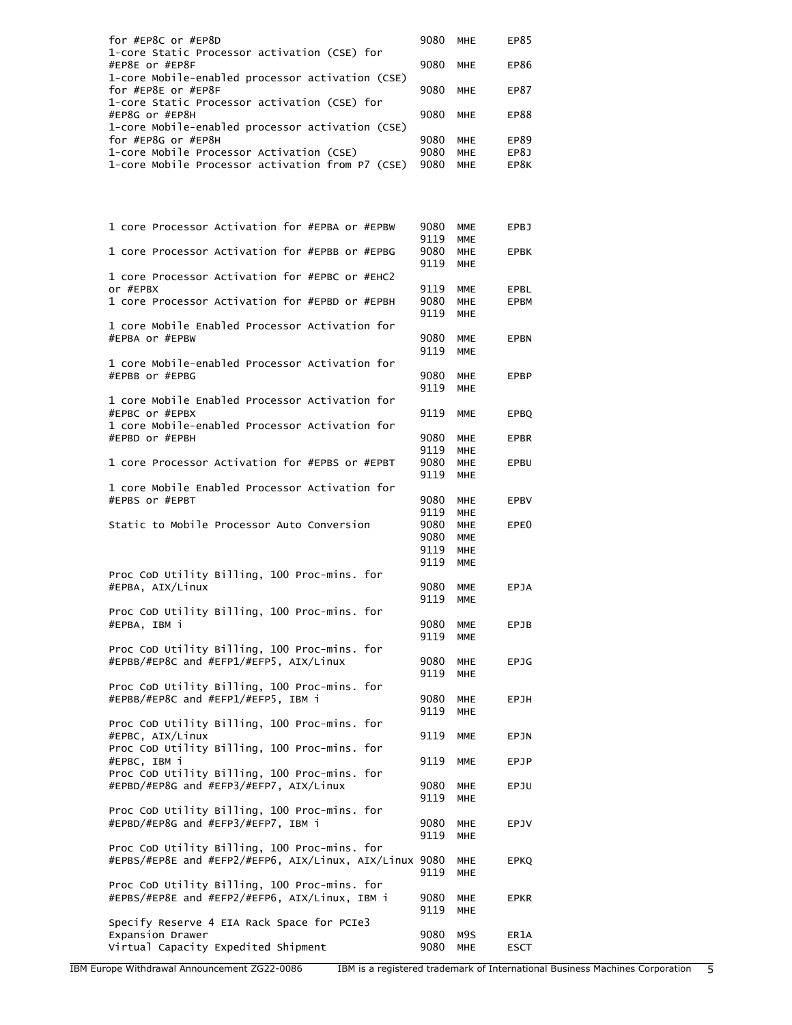| for #EP8C or #EP8D                                                     | 9080         | MHE               | EP85                |
|------------------------------------------------------------------------|--------------|-------------------|---------------------|
| 1-core Static Processor activation (CSE) for                           |              |                   |                     |
| #EP8E or #EP8F                                                         | 9080         | <b>MHE</b>        | EP86                |
| 1-core Mobile-enabled processor activation (CSE)<br>for #EP8E or #EP8F | 9080         | <b>MHE</b>        | EP87                |
| 1-core Static Processor activation (CSE) for                           |              |                   |                     |
| #EP8G or #EP8H                                                         | 9080         | <b>MHE</b>        | EP88                |
| 1-core Mobile-enabled processor activation (CSE)                       |              |                   |                     |
| for #EP8G or #EP8H                                                     | 9080         | MHE               | EP89                |
| 1-core Mobile Processor Activation (CSE)                               | 9080         | MHE               | EP8J                |
| 1-core Mobile Processor activation from P7 (CSE)                       | 9080         | MHE               | EP8K                |
|                                                                        |              |                   |                     |
|                                                                        |              |                   |                     |
|                                                                        |              |                   |                     |
| 1 core Processor Activation for #EPBA or #EPBW                         | 9080         | MME               | EPBJ                |
|                                                                        | 9119         | <b>MME</b>        |                     |
| 1 core Processor Activation for #EPBB or #EPBG                         | 9080         | MHE               | <b>EPBK</b>         |
|                                                                        | 9119         | MHE               |                     |
| 1 core Processor Activation for #EPBC or #EHC2                         |              |                   |                     |
| or #FPRX                                                               | 9119         | MME               | EPBL                |
| 1 core Processor Activation for #EPBD or #EPBH                         | 9080         | <b>MHE</b>        | <b>EPBM</b>         |
|                                                                        | 9119         | MHE               |                     |
| 1 core Mobile Enabled Processor Activation for                         |              |                   |                     |
| #EPBA or #EPBW                                                         | 9080<br>9119 | MME               | <b>EPBN</b>         |
| 1 core Mobile-enabled Processor Activation for                         |              | <b>MME</b>        |                     |
| #EPBB or #EPBG                                                         | 9080         | <b>MHE</b>        | EPBP                |
|                                                                        | 9119         | <b>MHE</b>        |                     |
| 1 core Mobile Enabled Processor Activation for                         |              |                   |                     |
| #EPBC or #EPBX                                                         | 9119         | <b>MME</b>        | <b>EPBQ</b>         |
| 1 core Mobile-enabled Processor Activation for                         |              |                   |                     |
| #EPBD or #EPBH                                                         | 9080         | MHE               | <b>EPBR</b>         |
|                                                                        | 9119         | MHE               |                     |
| 1 core Processor Activation for #EPBS or #EPBT                         | 9080         | <b>MHE</b>        | EPBU                |
| 1 core Mobile Enabled Processor Activation for                         | 9119         | <b>MHE</b>        |                     |
| #EPBS or #EPBT                                                         | 9080         | <b>MHE</b>        | EPBV                |
|                                                                        | 9119         | MHE               |                     |
| Static to Mobile Processor Auto Conversion                             | 9080         | <b>MHE</b>        | EPE0                |
|                                                                        | 9080         | MME               |                     |
|                                                                        | 9119         | <b>MHE</b>        |                     |
|                                                                        | 9119         | <b>MME</b>        |                     |
| Proc CoD Utility Billing, 100 Proc-mins. for                           |              |                   |                     |
| #EPBA, AIX/Linux                                                       | 9080         | MME               | <b>EPJA</b>         |
| Proc CoD Utility Billing, 100 Proc-mins. for                           | 9119         | <b>MME</b>        |                     |
| #EPBA, IBM i                                                           | 9080         | MME               | EPJB                |
|                                                                        | 9119         | MME               |                     |
| Proc CoD Utility Billing, 100 Proc-mins. for                           |              |                   |                     |
| #EPBB/#EP8C and #EFP1/#EFP5, AIX/Linux                                 | 9080         | MHE               | EPJG                |
|                                                                        | 9119         | <b>MHE</b>        |                     |
| Proc CoD Utility Billing, 100 Proc-mins. for                           |              |                   |                     |
| #EPBB/#EP8C and #EFP1/#EFP5, IBM i                                     | 9080         | <b>MHE</b>        | EPJH                |
| Proc CoD Utility Billing, 100 Proc-mins. for                           | 9119         | <b>MHE</b>        |                     |
| #EPBC, AIX/Linux                                                       | 9119         | <b>MME</b>        | EPJN                |
| Proc CoD Utility Billing, 100 Proc-mins. for                           |              |                   |                     |
| #EPBC, IBM i                                                           | 9119         | <b>MME</b>        | EPJP                |
| Proc CoD Utility Billing, 100 Proc-mins. for                           |              |                   |                     |
| #EPBD/#EP8G and #EFP3/#EFP7, AIX/Linux                                 |              |                   |                     |
|                                                                        | 9080         | MHE               | EPJU                |
|                                                                        | 9119         | <b>MHE</b>        |                     |
| Proc CoD Utility Billing, 100 Proc-mins. for                           |              |                   |                     |
| #EPBD/#EP8G and #EFP3/#EFP7, IBM i                                     | 9080         | <b>MHE</b>        | EPJV                |
|                                                                        | 9119         | <b>MHE</b>        |                     |
| Proc CoD Utility Billing, 100 Proc-mins. for                           |              |                   |                     |
| #EPBS/#EP8E and #EFP2/#EFP6, AIX/Linux, AIX/Linux 9080                 |              | <b>MHE</b>        | <b>EPKQ</b>         |
| Proc CoD Utility Billing, 100 Proc-mins. for                           | 9119         | <b>MHE</b>        |                     |
| #EPBS/#EP8E and #EFP2/#EFP6, AIX/Linux, IBM i                          | 9080         | <b>MHE</b>        | <b>EPKR</b>         |
|                                                                        | 9119         | <b>MHE</b>        |                     |
| Specify Reserve 4 EIA Rack Space for PCIe3                             |              |                   |                     |
| Expansion Drawer<br>Virtual Capacity Expedited Shipment                | 9080<br>9080 | M9S<br><b>MHE</b> | ER1A<br><b>ESCT</b> |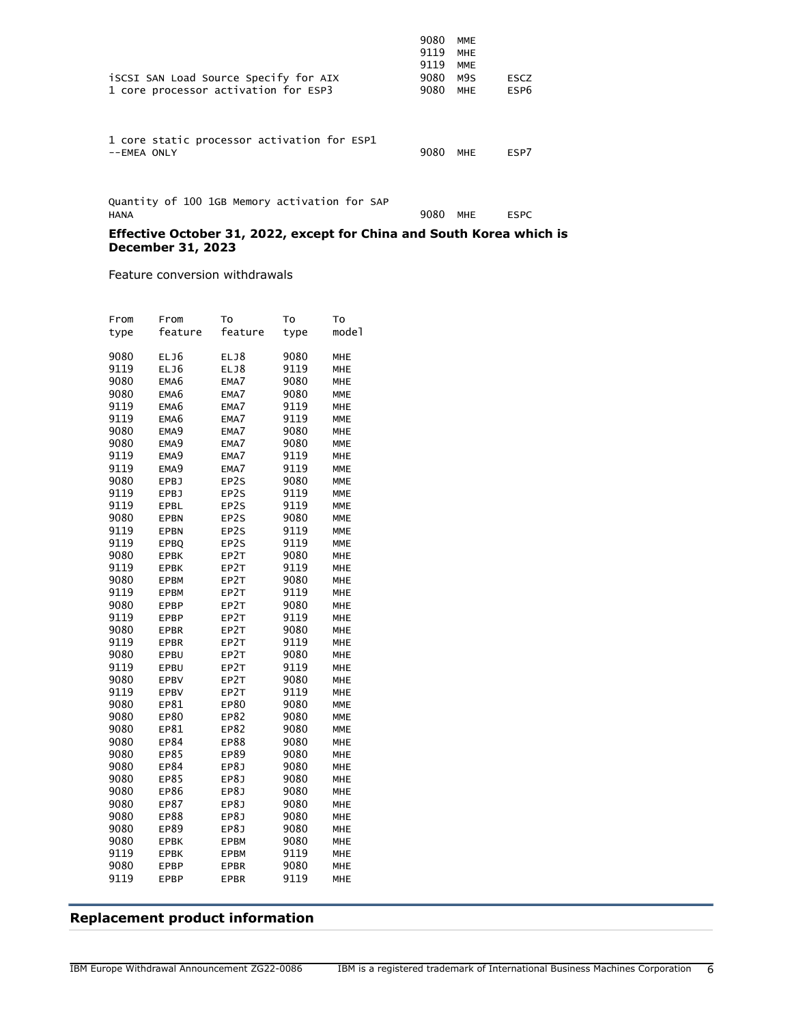| iSCSI SAN Load Source Specify for AIX<br>1 core processor activation for ESP3 | 9080<br>9119<br>9119<br>9080<br>9080 | <b>MME</b><br><b>MHE</b><br><b>MME</b><br>M9S<br><b>MHE</b> | <b>ESCZ</b><br>ESP <sub>6</sub> |
|-------------------------------------------------------------------------------|--------------------------------------|-------------------------------------------------------------|---------------------------------|
| 1 core static processor activation for ESP1<br>$--EMEA$ ONLY                  | 9080                                 | <b>MHE</b>                                                  | ESP7                            |
| Quantity of 100 1GB Memory activation for SAP<br><b>HANA</b>                  | 9080                                 | MHE                                                         | <b>ESPC</b>                     |

#### **Effective October 31, 2022, except for China and South Korea which is December 31, 2023**

Feature conversion withdrawals

| From | From        | To          | To   | To         |
|------|-------------|-------------|------|------------|
| type | feature     | feature     | type | model      |
|      |             |             |      |            |
| 9080 | ELJ6        | ELJ8        | 9080 | MHE        |
| 9119 | ELJ6        | ELJ8        | 9119 | MHE        |
| 9080 | EMA6        | EMA7        | 9080 | <b>MHE</b> |
| 9080 | EMA6        | EMA7        | 9080 | <b>MME</b> |
| 9119 | EMA6        | EMA7        | 9119 | MHE        |
| 9119 | EMA6        | EMA7        | 9119 | <b>MME</b> |
| 9080 | EMA9        | EMA7        | 9080 | MHE        |
| 9080 | EMA9        | EMA7        | 9080 | <b>MME</b> |
| 9119 | EMA9        | EMA7        | 9119 | MHE        |
| 9119 | EMA9        | EMA7        | 9119 | <b>MME</b> |
| 9080 | <b>EPBJ</b> | EP2S        | 9080 | <b>MME</b> |
| 9119 | <b>EPBJ</b> | EP2S        | 9119 | <b>MME</b> |
| 9119 | EPBL        | EP2S        | 9119 | <b>MME</b> |
| 9080 | <b>EPBN</b> | EP2S        | 9080 | <b>MME</b> |
| 9119 | <b>EPBN</b> | EP2S        | 9119 | <b>MME</b> |
| 9119 | <b>EPBO</b> | EP2S        | 9119 | <b>MME</b> |
| 9080 | <b>EPBK</b> | EP2T        | 9080 | <b>MHE</b> |
| 9119 | <b>EPBK</b> | EP2T        | 9119 | <b>MHE</b> |
| 9080 | EPBM        | EP2T        | 9080 | MHE        |
| 9119 | <b>EPBM</b> | EP2T        | 9119 | <b>MHE</b> |
| 9080 | EPBP        | EP2T        | 9080 | MHE        |
| 9119 | EPBP        | EP2T        | 9119 | MHE        |
| 9080 | <b>EPBR</b> | EP2T        | 9080 | <b>MHE</b> |
| 9119 | <b>EPBR</b> | EP2T        | 9119 | MHE        |
| 9080 | EPBU        | EP2T        | 9080 | MHE        |
| 9119 | EPBU        | EP2T        | 9119 | <b>MHE</b> |
| 9080 | <b>EPBV</b> | EP2T        | 9080 | MHE        |
| 9119 | <b>EPBV</b> | EP2T        | 9119 | <b>MHE</b> |
| 9080 | EP81        | EP80        | 9080 | <b>MME</b> |
| 9080 | EP80        | EP82        | 9080 | <b>MME</b> |
| 9080 | EP81        | EP82        | 9080 | <b>MME</b> |
| 9080 | EP84        | EP88        | 9080 | <b>MHE</b> |
| 9080 | EP85        | EP89        | 9080 | <b>MHE</b> |
| 9080 | EP84        | EP8J        | 9080 | MHE        |
| 9080 | EP85        | EP8J        | 9080 | <b>MHE</b> |
| 9080 | EP86        | EP8J        | 9080 | MHE        |
| 9080 | EP87        | EP8J        | 9080 | <b>MHE</b> |
| 9080 | EP88        | EP8J        | 9080 | MHE        |
| 9080 | EP89        | EP8J        | 9080 | MHE        |
| 9080 | <b>EPBK</b> | <b>EPBM</b> | 9080 | MHE        |
| 9119 | <b>EPBK</b> | <b>EPBM</b> | 9119 | MHE        |
| 9080 | <b>EPBP</b> | <b>EPBR</b> | 9080 | <b>MHE</b> |
| 9119 | EPBP        | EPBR        | 9119 | MHE        |
|      |             |             |      |            |

## <span id="page-5-0"></span>**Replacement product information**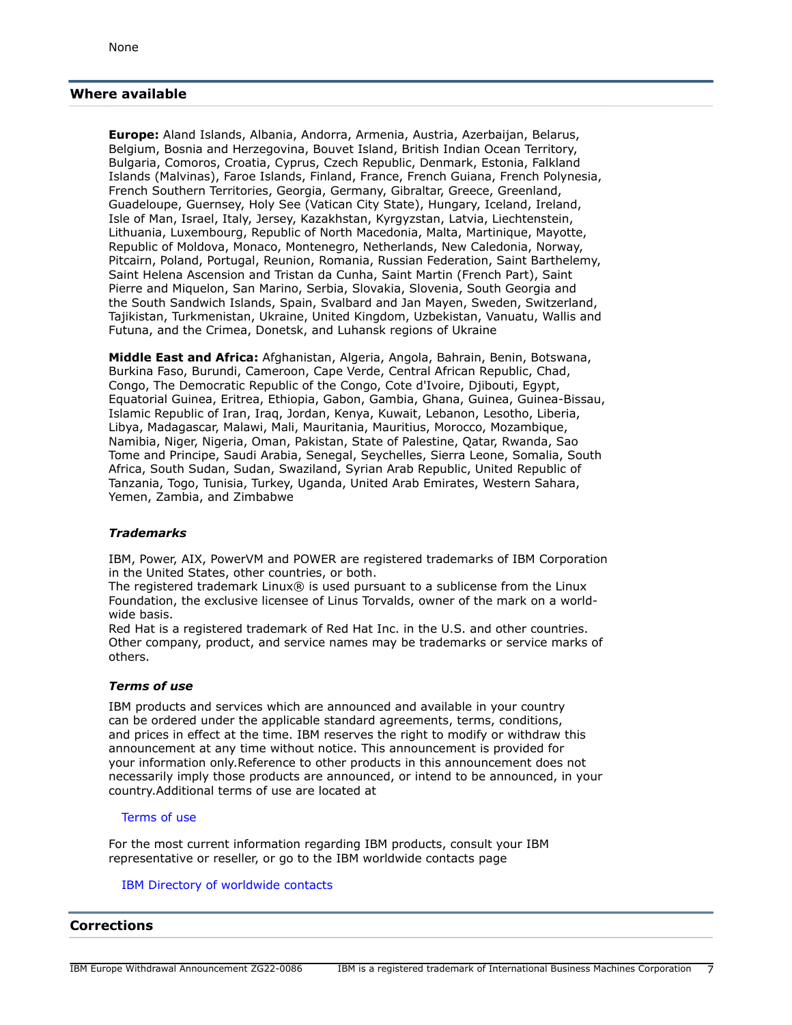## <span id="page-6-0"></span>**Where available**

**Europe:** Aland Islands, Albania, Andorra, Armenia, Austria, Azerbaijan, Belarus, Belgium, Bosnia and Herzegovina, Bouvet Island, British Indian Ocean Territory, Bulgaria, Comoros, Croatia, Cyprus, Czech Republic, Denmark, Estonia, Falkland Islands (Malvinas), Faroe Islands, Finland, France, French Guiana, French Polynesia, French Southern Territories, Georgia, Germany, Gibraltar, Greece, Greenland, Guadeloupe, Guernsey, Holy See (Vatican City State), Hungary, Iceland, Ireland, Isle of Man, Israel, Italy, Jersey, Kazakhstan, Kyrgyzstan, Latvia, Liechtenstein, Lithuania, Luxembourg, Republic of North Macedonia, Malta, Martinique, Mayotte, Republic of Moldova, Monaco, Montenegro, Netherlands, New Caledonia, Norway, Pitcairn, Poland, Portugal, Reunion, Romania, Russian Federation, Saint Barthelemy, Saint Helena Ascension and Tristan da Cunha, Saint Martin (French Part), Saint Pierre and Miquelon, San Marino, Serbia, Slovakia, Slovenia, South Georgia and the South Sandwich Islands, Spain, Svalbard and Jan Mayen, Sweden, Switzerland, Tajikistan, Turkmenistan, Ukraine, United Kingdom, Uzbekistan, Vanuatu, Wallis and Futuna, and the Crimea, Donetsk, and Luhansk regions of Ukraine

**Middle East and Africa:** Afghanistan, Algeria, Angola, Bahrain, Benin, Botswana, Burkina Faso, Burundi, Cameroon, Cape Verde, Central African Republic, Chad, Congo, The Democratic Republic of the Congo, Cote d'Ivoire, Djibouti, Egypt, Equatorial Guinea, Eritrea, Ethiopia, Gabon, Gambia, Ghana, Guinea, Guinea-Bissau, Islamic Republic of Iran, Iraq, Jordan, Kenya, Kuwait, Lebanon, Lesotho, Liberia, Libya, Madagascar, Malawi, Mali, Mauritania, Mauritius, Morocco, Mozambique, Namibia, Niger, Nigeria, Oman, Pakistan, State of Palestine, Qatar, Rwanda, Sao Tome and Principe, Saudi Arabia, Senegal, Seychelles, Sierra Leone, Somalia, South Africa, South Sudan, Sudan, Swaziland, Syrian Arab Republic, United Republic of Tanzania, Togo, Tunisia, Turkey, Uganda, United Arab Emirates, Western Sahara, Yemen, Zambia, and Zimbabwe

### *Trademarks*

IBM, Power, AIX, PowerVM and POWER are registered trademarks of IBM Corporation in the United States, other countries, or both.

The registered trademark Linux® is used pursuant to a sublicense from the Linux Foundation, the exclusive licensee of Linus Torvalds, owner of the mark on a worldwide basis.

Red Hat is a registered trademark of Red Hat Inc. in the U.S. and other countries. Other company, product, and service names may be trademarks or service marks of others.

#### *Terms of use*

IBM products and services which are announced and available in your country can be ordered under the applicable standard agreements, terms, conditions, and prices in effect at the time. IBM reserves the right to modify or withdraw this announcement at any time without notice. This announcement is provided for your information only.Reference to other products in this announcement does not necessarily imply those products are announced, or intend to be announced, in your country.Additional terms of use are located at

#### [Terms of use](http://www.ibm.com/legal/us/en/)

For the most current information regarding IBM products, consult your IBM representative or reseller, or go to the IBM worldwide contacts page

#### [IBM Directory of worldwide contacts](http://www.ibm.com/planetwide/)

## <span id="page-6-1"></span>**Corrections**